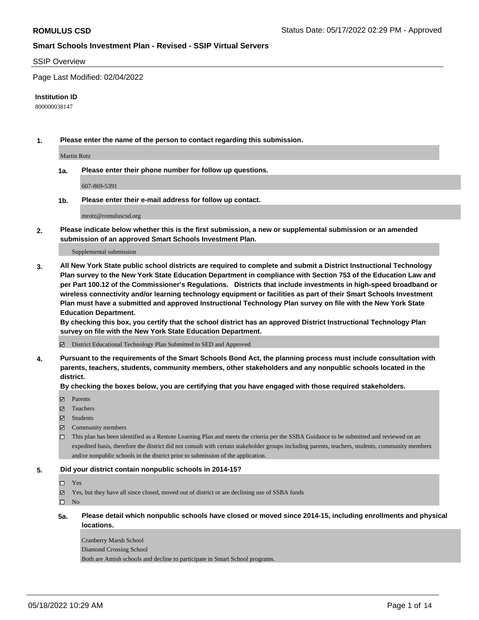#### SSIP Overview

Page Last Modified: 02/04/2022

#### **Institution ID**

800000038147

**1. Please enter the name of the person to contact regarding this submission.**

Martin Rotz

**1a. Please enter their phone number for follow up questions.**

607-869-5391

**1b. Please enter their e-mail address for follow up contact.**

mrotz@romuluscsd.org

**2. Please indicate below whether this is the first submission, a new or supplemental submission or an amended submission of an approved Smart Schools Investment Plan.**

Supplemental submission

**3. All New York State public school districts are required to complete and submit a District Instructional Technology Plan survey to the New York State Education Department in compliance with Section 753 of the Education Law and per Part 100.12 of the Commissioner's Regulations. Districts that include investments in high-speed broadband or wireless connectivity and/or learning technology equipment or facilities as part of their Smart Schools Investment Plan must have a submitted and approved Instructional Technology Plan survey on file with the New York State Education Department.** 

**By checking this box, you certify that the school district has an approved District Instructional Technology Plan survey on file with the New York State Education Department.**

District Educational Technology Plan Submitted to SED and Approved

**4. Pursuant to the requirements of the Smart Schools Bond Act, the planning process must include consultation with parents, teachers, students, community members, other stakeholders and any nonpublic schools located in the district.** 

**By checking the boxes below, you are certifying that you have engaged with those required stakeholders.**

- $\blacksquare$  Parents
- Teachers
- Students
- $\Xi$  Community members
- This plan has been identified as a Remote Learning Plan and meets the criteria per the SSBA Guidance to be submitted and reviewed on an expedited basis, therefore the district did not consult with certain stakeholder groups including parents, teachers, students, community members and/or nonpublic schools in the district prior to submission of the application.

#### **5. Did your district contain nonpublic schools in 2014-15?**

### Yes

 $\boxtimes$  Yes, but they have all since closed, moved out of district or are declining use of SSBA funds

 $\square$  No

**5a. Please detail which nonpublic schools have closed or moved since 2014-15, including enrollments and physical locations.**

Cranberry Marsh School Diamond Crossing School Both are Amish schools and decline to participate in Smart School programs.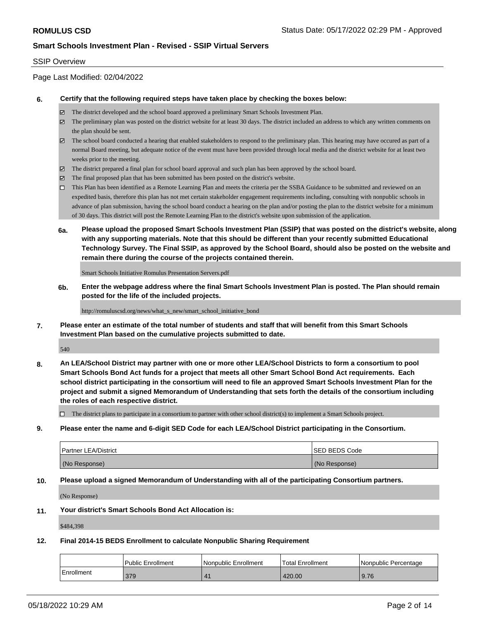### SSIP Overview

Page Last Modified: 02/04/2022

### **6. Certify that the following required steps have taken place by checking the boxes below:**

- The district developed and the school board approved a preliminary Smart Schools Investment Plan.
- $\boxtimes$  The preliminary plan was posted on the district website for at least 30 days. The district included an address to which any written comments on the plan should be sent.
- $\boxtimes$  The school board conducted a hearing that enabled stakeholders to respond to the preliminary plan. This hearing may have occured as part of a normal Board meeting, but adequate notice of the event must have been provided through local media and the district website for at least two weeks prior to the meeting.
- The district prepared a final plan for school board approval and such plan has been approved by the school board.
- $\boxtimes$  The final proposed plan that has been submitted has been posted on the district's website.
- This Plan has been identified as a Remote Learning Plan and meets the criteria per the SSBA Guidance to be submitted and reviewed on an expedited basis, therefore this plan has not met certain stakeholder engagement requirements including, consulting with nonpublic schools in advance of plan submission, having the school board conduct a hearing on the plan and/or posting the plan to the district website for a minimum of 30 days. This district will post the Remote Learning Plan to the district's website upon submission of the application.
- **6a. Please upload the proposed Smart Schools Investment Plan (SSIP) that was posted on the district's website, along with any supporting materials. Note that this should be different than your recently submitted Educational Technology Survey. The Final SSIP, as approved by the School Board, should also be posted on the website and remain there during the course of the projects contained therein.**

Smart Schools Initiative Romulus Presentation Servers.pdf

**6b. Enter the webpage address where the final Smart Schools Investment Plan is posted. The Plan should remain posted for the life of the included projects.**

http://romuluscsd.org/news/what\_s\_new/smart\_school\_initiative\_bond

**7. Please enter an estimate of the total number of students and staff that will benefit from this Smart Schools Investment Plan based on the cumulative projects submitted to date.**

540

**8. An LEA/School District may partner with one or more other LEA/School Districts to form a consortium to pool Smart Schools Bond Act funds for a project that meets all other Smart School Bond Act requirements. Each school district participating in the consortium will need to file an approved Smart Schools Investment Plan for the project and submit a signed Memorandum of Understanding that sets forth the details of the consortium including the roles of each respective district.**

 $\Box$  The district plans to participate in a consortium to partner with other school district(s) to implement a Smart Schools project.

**9. Please enter the name and 6-digit SED Code for each LEA/School District participating in the Consortium.**

| <b>Partner LEA/District</b> | <b>ISED BEDS Code</b> |
|-----------------------------|-----------------------|
| (No Response)               | (No Response)         |

### **10. Please upload a signed Memorandum of Understanding with all of the participating Consortium partners.**

(No Response)

#### **11. Your district's Smart Schools Bond Act Allocation is:**

\$484,398

### **12. Final 2014-15 BEDS Enrollment to calculate Nonpublic Sharing Requirement**

|            | Public Enrollment | Nonpublic Enrollment | <b>Total Enrollment</b> | Nonpublic Percentage |
|------------|-------------------|----------------------|-------------------------|----------------------|
| Enrollment | 379               |                      | 420.00                  | 9.76                 |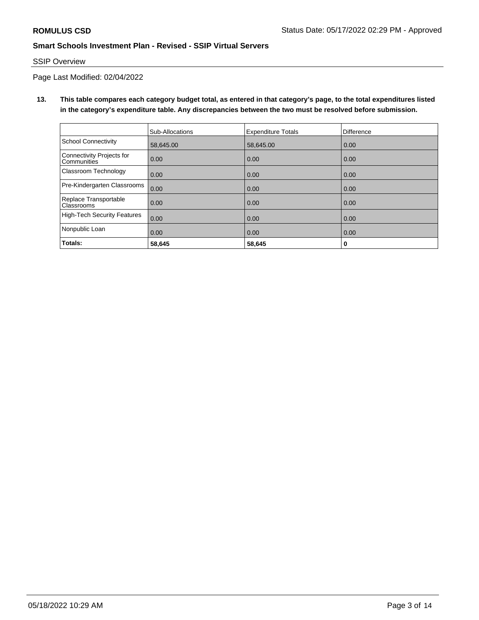# SSIP Overview

Page Last Modified: 02/04/2022

**13. This table compares each category budget total, as entered in that category's page, to the total expenditures listed in the category's expenditure table. Any discrepancies between the two must be resolved before submission.**

|                                                 | Sub-Allocations | <b>Expenditure Totals</b> | Difference |
|-------------------------------------------------|-----------------|---------------------------|------------|
| School Connectivity                             | 58,645.00       | 58,645.00                 | 0.00       |
| Connectivity Projects for<br><b>Communities</b> | 0.00            | 0.00                      | 0.00       |
| <b>Classroom Technology</b>                     | 0.00            | 0.00                      | 0.00       |
| Pre-Kindergarten Classrooms                     | 0.00            | 0.00                      | 0.00       |
| Replace Transportable<br>Classrooms             | 0.00            | 0.00                      | 0.00       |
| High-Tech Security Features                     | 0.00            | 0.00                      | 0.00       |
| Nonpublic Loan                                  | 0.00            | 0.00                      | 0.00       |
| Totals:                                         | 58,645          | 58,645                    | 0          |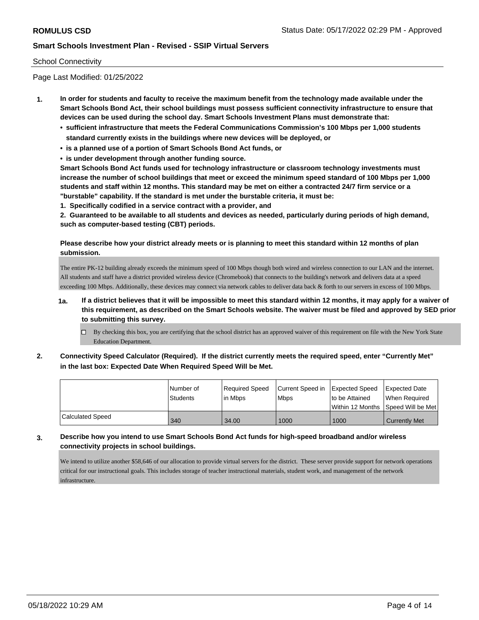### School Connectivity

Page Last Modified: 01/25/2022

- **1. In order for students and faculty to receive the maximum benefit from the technology made available under the Smart Schools Bond Act, their school buildings must possess sufficient connectivity infrastructure to ensure that devices can be used during the school day. Smart Schools Investment Plans must demonstrate that:**
	- **• sufficient infrastructure that meets the Federal Communications Commission's 100 Mbps per 1,000 students standard currently exists in the buildings where new devices will be deployed, or**
	- **• is a planned use of a portion of Smart Schools Bond Act funds, or**
	- **• is under development through another funding source.**

**Smart Schools Bond Act funds used for technology infrastructure or classroom technology investments must increase the number of school buildings that meet or exceed the minimum speed standard of 100 Mbps per 1,000 students and staff within 12 months. This standard may be met on either a contracted 24/7 firm service or a "burstable" capability. If the standard is met under the burstable criteria, it must be:**

**1. Specifically codified in a service contract with a provider, and**

**2. Guaranteed to be available to all students and devices as needed, particularly during periods of high demand, such as computer-based testing (CBT) periods.**

# **Please describe how your district already meets or is planning to meet this standard within 12 months of plan submission.**

The entire PK-12 building already exceeds the minimum speed of 100 Mbps though both wired and wireless connection to our LAN and the internet. All students and staff have a district provided wireless device (Chromebook) that connects to the building's network and delivers data at a speed exceeding 100 Mbps. Additionally, these devices may connect via network cables to deliver data back & forth to our servers in excess of 100 Mbps.

- **1a. If a district believes that it will be impossible to meet this standard within 12 months, it may apply for a waiver of this requirement, as described on the Smart Schools website. The waiver must be filed and approved by SED prior to submitting this survey.**
	- By checking this box, you are certifying that the school district has an approved waiver of this requirement on file with the New York State Education Department.
- **2. Connectivity Speed Calculator (Required). If the district currently meets the required speed, enter "Currently Met" in the last box: Expected Date When Required Speed Will be Met.**

|                         | Number of       | Required Speed | Current Speed in | Expected Speed | <b>Expected Date</b>                    |
|-------------------------|-----------------|----------------|------------------|----------------|-----------------------------------------|
|                         | <b>Students</b> | lin Mbps       | <b>Mbps</b>      | to be Attained | When Required                           |
|                         |                 |                |                  |                | l Within 12 Months ISpeed Will be Met l |
| <b>Calculated Speed</b> | 340             | 34.00          | 1000             | 1000           | <b>Currently Met</b>                    |

# **3. Describe how you intend to use Smart Schools Bond Act funds for high-speed broadband and/or wireless connectivity projects in school buildings.**

We intend to utilize another \$58,646 of our allocation to provide virtual servers for the district. These server provide support for network operations critical for our instructional goals. This includes storage of teacher instructional materials, student work, and management of the network infrastructure.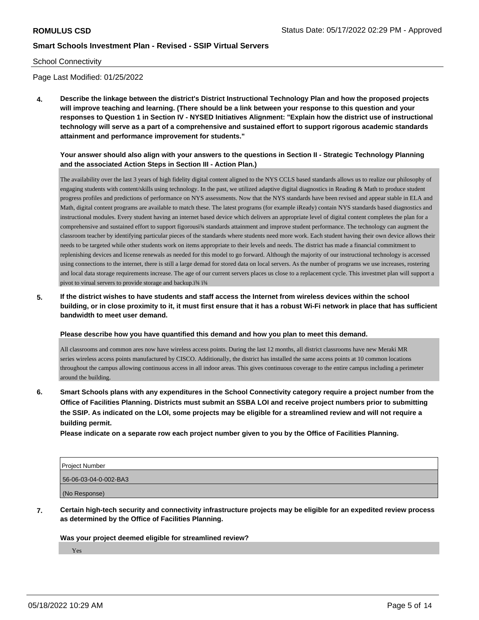### School Connectivity

Page Last Modified: 01/25/2022

**4. Describe the linkage between the district's District Instructional Technology Plan and how the proposed projects will improve teaching and learning. (There should be a link between your response to this question and your responses to Question 1 in Section IV - NYSED Initiatives Alignment: "Explain how the district use of instructional technology will serve as a part of a comprehensive and sustained effort to support rigorous academic standards attainment and performance improvement for students."** 

### **Your answer should also align with your answers to the questions in Section II - Strategic Technology Planning and the associated Action Steps in Section III - Action Plan.)**

The availability over the last 3 years of high fidelity digital content aligned to the NYS CCLS based standards allows us to realize our philosophy of engaging students with content/skills using technology. In the past, we utilized adaptive digital diagnostics in Reading & Math to produce student progress profiles and predictions of performance on NYS assessments. Now that the NYS standards have been revised and appear stable in ELA and Math, digital content programs are available to match these. The latest programs (for example iReady) contain NYS standards based diagnostics and instructional modules. Every student having an internet based device which delivers an appropriate level of digital content completes the plan for a comprehensive and sustained effort to support figorousï¾ standards attainment and improve student performance. The technology can augment the classroom teacher by identifying particular pieces of the standards where students need more work. Each student having their own device allows their needs to be targeted while other students work on items appropriate to their levels and needs. The district has made a financial commitment to replenishing devices and license renewals as needed for this model to go forward. Although the majority of our instructional technology is accessed using connections to the internet, there is still a large demad for stored data on local servers. As the number of programs we use increases, rostering and local data storage requirements increase. The age of our current servers places us close to a replacement cycle. This investmet plan will support a pivot to virual servers to provide storage and backup.ï¾ ï¾

**5. If the district wishes to have students and staff access the Internet from wireless devices within the school building, or in close proximity to it, it must first ensure that it has a robust Wi-Fi network in place that has sufficient bandwidth to meet user demand.**

#### **Please describe how you have quantified this demand and how you plan to meet this demand.**

All classrooms and common ares now have wireless access points. During the last 12 months, all district classrooms have new Meraki MR series wireless access points manufactured by CISCO. Additionally, the district has installed the same access points at 10 common locations throughout the campus allowing continuous access in all indoor areas. This gives continuous coverage to the entire campus including a perimeter around the building.

**6. Smart Schools plans with any expenditures in the School Connectivity category require a project number from the Office of Facilities Planning. Districts must submit an SSBA LOI and receive project numbers prior to submitting the SSIP. As indicated on the LOI, some projects may be eligible for a streamlined review and will not require a building permit.**

**Please indicate on a separate row each project number given to you by the Office of Facilities Planning.**

| Project Number        |  |
|-----------------------|--|
| 56-06-03-04-0-002-BA3 |  |
| (No Response)         |  |

**7. Certain high-tech security and connectivity infrastructure projects may be eligible for an expedited review process as determined by the Office of Facilities Planning.**

### **Was your project deemed eligible for streamlined review?**

Yes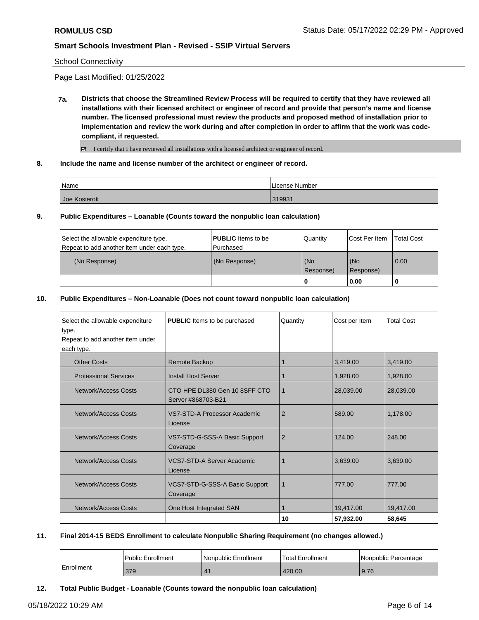School Connectivity

Page Last Modified: 01/25/2022

**7a. Districts that choose the Streamlined Review Process will be required to certify that they have reviewed all installations with their licensed architect or engineer of record and provide that person's name and license number. The licensed professional must review the products and proposed method of installation prior to implementation and review the work during and after completion in order to affirm that the work was codecompliant, if requested.**

I certify that I have reviewed all installations with a licensed architect or engineer of record.

**8. Include the name and license number of the architect or engineer of record.**

| Name         | License Number |
|--------------|----------------|
| Joe Kosierok | 319931         |

**9. Public Expenditures – Loanable (Counts toward the nonpublic loan calculation)**

| Select the allowable expenditure type.      | <b>PUBLIC</b> Items to be | Quantity         | Cost Per Item    | <b>Total Cost</b> |
|---------------------------------------------|---------------------------|------------------|------------------|-------------------|
| Repeat to add another item under each type. | Purchased                 |                  |                  |                   |
| (No Response)                               | (No Response)             | (No<br>Response) | (No<br>Response) | 0.00              |
|                                             |                           | 0                | 0.00             |                   |

#### **10. Public Expenditures – Non-Loanable (Does not count toward nonpublic loan calculation)**

| Select the allowable expenditure | <b>PUBLIC</b> Items to be purchased                 | Quantity       | Cost per Item | <b>Total Cost</b> |
|----------------------------------|-----------------------------------------------------|----------------|---------------|-------------------|
| type.                            |                                                     |                |               |                   |
| Repeat to add another item under |                                                     |                |               |                   |
| each type.                       |                                                     |                |               |                   |
| <b>Other Costs</b>               | Remote Backup                                       |                | 3,419.00      | 3,419.00          |
| <b>Professional Services</b>     | <b>Install Host Server</b>                          |                | 1,928.00      | 1,928.00          |
| Network/Access Costs             | CTO HPE DL380 Gen 10 8SFF CTO<br>Server #868703-B21 | 1              | 28,039.00     | 28,039.00         |
| Network/Access Costs             | VS7-STD-A Processor Academic<br>License             | $\overline{2}$ | 589.00        | 1,178.00          |
| Network/Access Costs             | VS7-STD-G-SSS-A Basic Support<br>Coverage           | $\overline{2}$ | 124.00        | 248.00            |
| Network/Access Costs             | <b>VCS7-STD-A Server Academic</b><br>License        |                | 3,639.00      | 3,639.00          |
| Network/Access Costs             | VCS7-STD-G-SSS-A Basic Support<br>Coverage          | 1              | 777.00        | 777.00            |
| Network/Access Costs             | One Host Integrated SAN                             |                | 19,417.00     | 19.417.00         |
|                                  |                                                     | 10             | 57,932.00     | 58,645            |

#### **11. Final 2014-15 BEDS Enrollment to calculate Nonpublic Sharing Requirement (no changes allowed.)**

|                         | <b>Public Enrollment</b> | l Nonpublic Enrollment | <sup>1</sup> Total Enrollment | l Nonpublic Percentage |
|-------------------------|--------------------------|------------------------|-------------------------------|------------------------|
| <sup>I</sup> Enrollment | 379                      |                        | 420.00                        | 9.76                   |

**12. Total Public Budget - Loanable (Counts toward the nonpublic loan calculation)**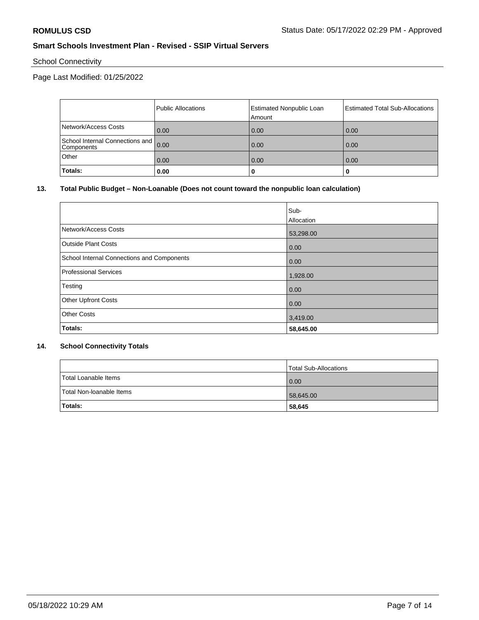# School Connectivity

# Page Last Modified: 01/25/2022

|                                               | Public Allocations | <b>Estimated Nonpublic Loan</b><br>Amount | <b>Estimated Total Sub-Allocations</b> |
|-----------------------------------------------|--------------------|-------------------------------------------|----------------------------------------|
| Network/Access Costs                          | 0.00               | 0.00                                      | 0.00                                   |
| School Internal Connections and<br>Components | 0.00               | 0.00                                      | 0.00                                   |
| Other                                         | 0.00               | 0.00                                      | 0.00                                   |
| Totals:                                       | 0.00               | 0                                         |                                        |

## **13. Total Public Budget – Non-Loanable (Does not count toward the nonpublic loan calculation)**

|                                            | Sub-              |
|--------------------------------------------|-------------------|
|                                            | <b>Allocation</b> |
| Network/Access Costs                       | 53,298.00         |
| <b>Outside Plant Costs</b>                 | 0.00              |
| School Internal Connections and Components | 0.00              |
| Professional Services                      | 1,928.00          |
| Testing                                    | 0.00              |
| <b>Other Upfront Costs</b>                 | 0.00              |
| <b>Other Costs</b>                         | 3,419.00          |
| Totals:                                    | 58,645.00         |

# **14. School Connectivity Totals**

|                          | Total Sub-Allocations |
|--------------------------|-----------------------|
| Total Loanable Items     | 0.00                  |
| Total Non-Ioanable Items | 58,645.00             |
| Totals:                  | 58,645                |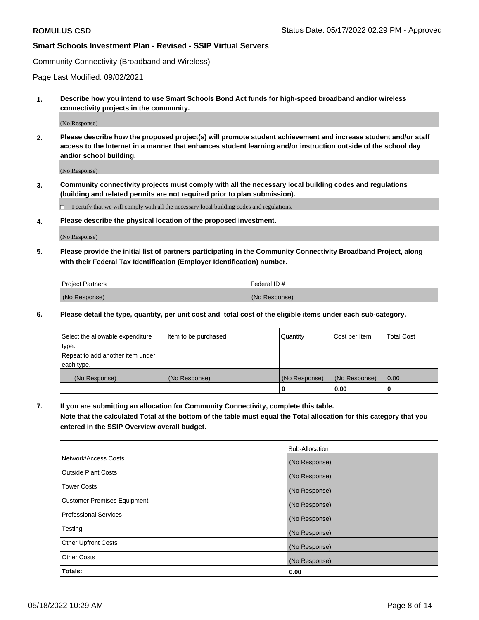Community Connectivity (Broadband and Wireless)

Page Last Modified: 09/02/2021

**1. Describe how you intend to use Smart Schools Bond Act funds for high-speed broadband and/or wireless connectivity projects in the community.**

(No Response)

**2. Please describe how the proposed project(s) will promote student achievement and increase student and/or staff access to the Internet in a manner that enhances student learning and/or instruction outside of the school day and/or school building.**

(No Response)

**3. Community connectivity projects must comply with all the necessary local building codes and regulations (building and related permits are not required prior to plan submission).**

 $\Box$  I certify that we will comply with all the necessary local building codes and regulations.

**4. Please describe the physical location of the proposed investment.**

(No Response)

**5. Please provide the initial list of partners participating in the Community Connectivity Broadband Project, along with their Federal Tax Identification (Employer Identification) number.**

| <b>Project Partners</b> | Federal ID#   |
|-------------------------|---------------|
| (No Response)           | (No Response) |

**6. Please detail the type, quantity, per unit cost and total cost of the eligible items under each sub-category.**

| Select the allowable expenditure | Item to be purchased | Quantity      | Cost per Item | <b>Total Cost</b> |
|----------------------------------|----------------------|---------------|---------------|-------------------|
| type.                            |                      |               |               |                   |
| Repeat to add another item under |                      |               |               |                   |
| each type.                       |                      |               |               |                   |
| (No Response)                    | (No Response)        | (No Response) | (No Response) | 0.00              |
|                                  |                      | 0             | 0.00          |                   |

**7. If you are submitting an allocation for Community Connectivity, complete this table.**

**Note that the calculated Total at the bottom of the table must equal the Total allocation for this category that you entered in the SSIP Overview overall budget.**

|                                    | Sub-Allocation |
|------------------------------------|----------------|
| Network/Access Costs               | (No Response)  |
| Outside Plant Costs                | (No Response)  |
| <b>Tower Costs</b>                 | (No Response)  |
| <b>Customer Premises Equipment</b> | (No Response)  |
| Professional Services              | (No Response)  |
| Testing                            | (No Response)  |
| <b>Other Upfront Costs</b>         | (No Response)  |
| <b>Other Costs</b>                 | (No Response)  |
| Totals:                            | 0.00           |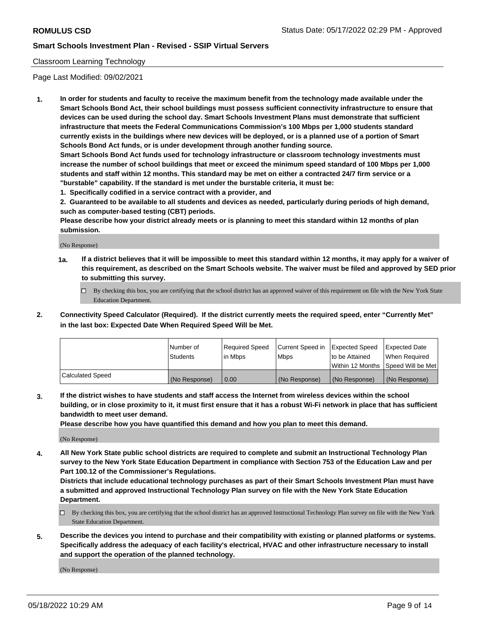# Classroom Learning Technology

Page Last Modified: 09/02/2021

**1. In order for students and faculty to receive the maximum benefit from the technology made available under the Smart Schools Bond Act, their school buildings must possess sufficient connectivity infrastructure to ensure that devices can be used during the school day. Smart Schools Investment Plans must demonstrate that sufficient infrastructure that meets the Federal Communications Commission's 100 Mbps per 1,000 students standard currently exists in the buildings where new devices will be deployed, or is a planned use of a portion of Smart Schools Bond Act funds, or is under development through another funding source.**

**Smart Schools Bond Act funds used for technology infrastructure or classroom technology investments must increase the number of school buildings that meet or exceed the minimum speed standard of 100 Mbps per 1,000 students and staff within 12 months. This standard may be met on either a contracted 24/7 firm service or a "burstable" capability. If the standard is met under the burstable criteria, it must be:**

**1. Specifically codified in a service contract with a provider, and**

**2. Guaranteed to be available to all students and devices as needed, particularly during periods of high demand, such as computer-based testing (CBT) periods.**

**Please describe how your district already meets or is planning to meet this standard within 12 months of plan submission.**

(No Response)

- **1a. If a district believes that it will be impossible to meet this standard within 12 months, it may apply for a waiver of this requirement, as described on the Smart Schools website. The waiver must be filed and approved by SED prior to submitting this survey.**
	- By checking this box, you are certifying that the school district has an approved waiver of this requirement on file with the New York State Education Department.
- **2. Connectivity Speed Calculator (Required). If the district currently meets the required speed, enter "Currently Met" in the last box: Expected Date When Required Speed Will be Met.**

|                  | Number of     | Required Speed | Current Speed in | Expected Speed | Expected Date                           |
|------------------|---------------|----------------|------------------|----------------|-----------------------------------------|
|                  | Students      | lin Mbps       | <b>Mbps</b>      | to be Attained | When Required                           |
|                  |               |                |                  |                | l Within 12 Months ISpeed Will be Met l |
| Calculated Speed | (No Response) | 0.00           | (No Response)    | (No Response)  | (No Response)                           |

**3. If the district wishes to have students and staff access the Internet from wireless devices within the school building, or in close proximity to it, it must first ensure that it has a robust Wi-Fi network in place that has sufficient bandwidth to meet user demand.**

**Please describe how you have quantified this demand and how you plan to meet this demand.**

(No Response)

**4. All New York State public school districts are required to complete and submit an Instructional Technology Plan survey to the New York State Education Department in compliance with Section 753 of the Education Law and per Part 100.12 of the Commissioner's Regulations.**

**Districts that include educational technology purchases as part of their Smart Schools Investment Plan must have a submitted and approved Instructional Technology Plan survey on file with the New York State Education Department.**

- By checking this box, you are certifying that the school district has an approved Instructional Technology Plan survey on file with the New York State Education Department.
- **5. Describe the devices you intend to purchase and their compatibility with existing or planned platforms or systems. Specifically address the adequacy of each facility's electrical, HVAC and other infrastructure necessary to install and support the operation of the planned technology.**

(No Response)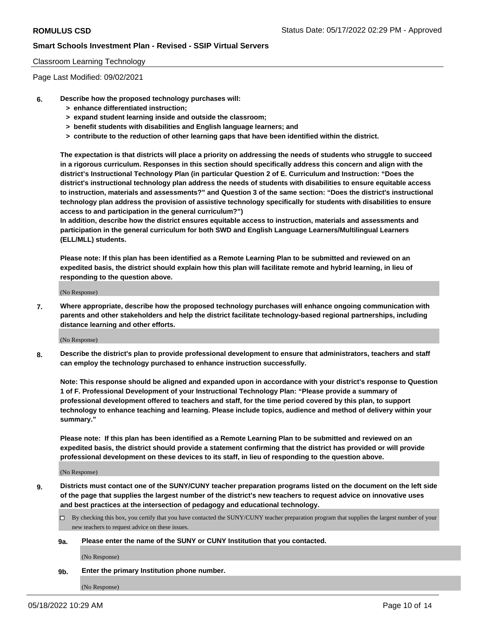### Classroom Learning Technology

Page Last Modified: 09/02/2021

- **6. Describe how the proposed technology purchases will:**
	- **> enhance differentiated instruction;**
	- **> expand student learning inside and outside the classroom;**
	- **> benefit students with disabilities and English language learners; and**
	- **> contribute to the reduction of other learning gaps that have been identified within the district.**

**The expectation is that districts will place a priority on addressing the needs of students who struggle to succeed in a rigorous curriculum. Responses in this section should specifically address this concern and align with the district's Instructional Technology Plan (in particular Question 2 of E. Curriculum and Instruction: "Does the district's instructional technology plan address the needs of students with disabilities to ensure equitable access to instruction, materials and assessments?" and Question 3 of the same section: "Does the district's instructional technology plan address the provision of assistive technology specifically for students with disabilities to ensure access to and participation in the general curriculum?")**

**In addition, describe how the district ensures equitable access to instruction, materials and assessments and participation in the general curriculum for both SWD and English Language Learners/Multilingual Learners (ELL/MLL) students.**

**Please note: If this plan has been identified as a Remote Learning Plan to be submitted and reviewed on an expedited basis, the district should explain how this plan will facilitate remote and hybrid learning, in lieu of responding to the question above.**

(No Response)

**7. Where appropriate, describe how the proposed technology purchases will enhance ongoing communication with parents and other stakeholders and help the district facilitate technology-based regional partnerships, including distance learning and other efforts.**

(No Response)

**8. Describe the district's plan to provide professional development to ensure that administrators, teachers and staff can employ the technology purchased to enhance instruction successfully.**

**Note: This response should be aligned and expanded upon in accordance with your district's response to Question 1 of F. Professional Development of your Instructional Technology Plan: "Please provide a summary of professional development offered to teachers and staff, for the time period covered by this plan, to support technology to enhance teaching and learning. Please include topics, audience and method of delivery within your summary."**

**Please note: If this plan has been identified as a Remote Learning Plan to be submitted and reviewed on an expedited basis, the district should provide a statement confirming that the district has provided or will provide professional development on these devices to its staff, in lieu of responding to the question above.**

(No Response)

**9. Districts must contact one of the SUNY/CUNY teacher preparation programs listed on the document on the left side of the page that supplies the largest number of the district's new teachers to request advice on innovative uses and best practices at the intersection of pedagogy and educational technology.**

- By checking this box, you certify that you have contacted the SUNY/CUNY teacher preparation program that supplies the largest number of your new teachers to request advice on these issues.
- **9a. Please enter the name of the SUNY or CUNY Institution that you contacted.**

(No Response)

**9b. Enter the primary Institution phone number.**

(No Response)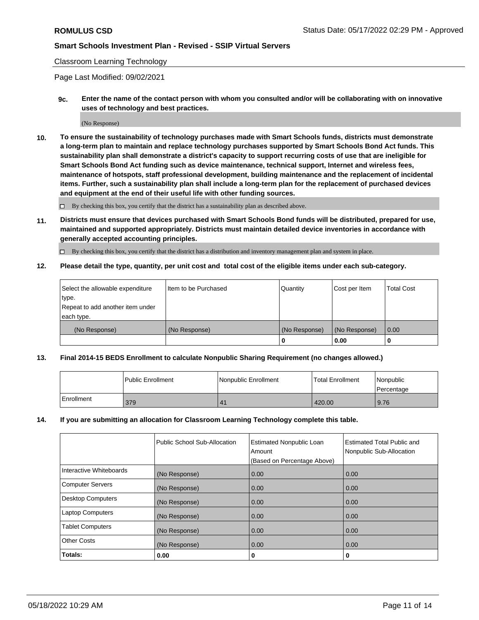### Classroom Learning Technology

Page Last Modified: 09/02/2021

**9c. Enter the name of the contact person with whom you consulted and/or will be collaborating with on innovative uses of technology and best practices.**

(No Response)

**10. To ensure the sustainability of technology purchases made with Smart Schools funds, districts must demonstrate a long-term plan to maintain and replace technology purchases supported by Smart Schools Bond Act funds. This sustainability plan shall demonstrate a district's capacity to support recurring costs of use that are ineligible for Smart Schools Bond Act funding such as device maintenance, technical support, Internet and wireless fees, maintenance of hotspots, staff professional development, building maintenance and the replacement of incidental items. Further, such a sustainability plan shall include a long-term plan for the replacement of purchased devices and equipment at the end of their useful life with other funding sources.**

 $\square$  By checking this box, you certify that the district has a sustainability plan as described above.

**11. Districts must ensure that devices purchased with Smart Schools Bond funds will be distributed, prepared for use, maintained and supported appropriately. Districts must maintain detailed device inventories in accordance with generally accepted accounting principles.**

By checking this box, you certify that the district has a distribution and inventory management plan and system in place.

**12. Please detail the type, quantity, per unit cost and total cost of the eligible items under each sub-category.**

| Select the allowable expenditure | I Item to be Purchased | Quantity      | Cost per Item | Total Cost |
|----------------------------------|------------------------|---------------|---------------|------------|
| type.                            |                        |               |               |            |
| Repeat to add another item under |                        |               |               |            |
| each type.                       |                        |               |               |            |
| (No Response)                    | (No Response)          | (No Response) | (No Response) | 0.00       |
|                                  |                        | u             | 0.00          |            |

### **13. Final 2014-15 BEDS Enrollment to calculate Nonpublic Sharing Requirement (no changes allowed.)**

|            | l Public Enrollment | Nonpublic Enrollment  | <b>Total Enrollment</b> | Nonpublic<br>l Percentage |
|------------|---------------------|-----------------------|-------------------------|---------------------------|
| Enrollment | 379                 | $\mathbf{4}^{\prime}$ | 420.00                  | 9.76                      |

#### **14. If you are submitting an allocation for Classroom Learning Technology complete this table.**

|                          | Public School Sub-Allocation | <b>Estimated Nonpublic Loan</b><br>Amount | <b>Estimated Total Public and</b><br>Nonpublic Sub-Allocation |
|--------------------------|------------------------------|-------------------------------------------|---------------------------------------------------------------|
|                          |                              | (Based on Percentage Above)               |                                                               |
| Interactive Whiteboards  | (No Response)                | 0.00                                      | 0.00                                                          |
| <b>Computer Servers</b>  | (No Response)                | 0.00                                      | 0.00                                                          |
| <b>Desktop Computers</b> | (No Response)                | 0.00                                      | 0.00                                                          |
| <b>Laptop Computers</b>  | (No Response)                | 0.00                                      | 0.00                                                          |
| <b>Tablet Computers</b>  | (No Response)                | 0.00                                      | 0.00                                                          |
| <b>Other Costs</b>       | (No Response)                | 0.00                                      | 0.00                                                          |
| Totals:                  | 0.00                         | 0                                         | 0                                                             |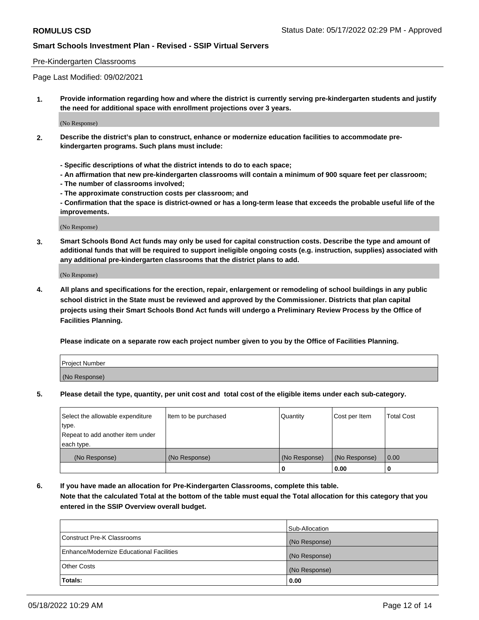### Pre-Kindergarten Classrooms

Page Last Modified: 09/02/2021

**1. Provide information regarding how and where the district is currently serving pre-kindergarten students and justify the need for additional space with enrollment projections over 3 years.**

(No Response)

- **2. Describe the district's plan to construct, enhance or modernize education facilities to accommodate prekindergarten programs. Such plans must include:**
	- **Specific descriptions of what the district intends to do to each space;**
	- **An affirmation that new pre-kindergarten classrooms will contain a minimum of 900 square feet per classroom;**
	- **The number of classrooms involved;**
	- **The approximate construction costs per classroom; and**
	- **Confirmation that the space is district-owned or has a long-term lease that exceeds the probable useful life of the improvements.**

(No Response)

**3. Smart Schools Bond Act funds may only be used for capital construction costs. Describe the type and amount of additional funds that will be required to support ineligible ongoing costs (e.g. instruction, supplies) associated with any additional pre-kindergarten classrooms that the district plans to add.**

(No Response)

**4. All plans and specifications for the erection, repair, enlargement or remodeling of school buildings in any public school district in the State must be reviewed and approved by the Commissioner. Districts that plan capital projects using their Smart Schools Bond Act funds will undergo a Preliminary Review Process by the Office of Facilities Planning.**

**Please indicate on a separate row each project number given to you by the Office of Facilities Planning.**

| Project Number |  |
|----------------|--|
| (No Response)  |  |

**5. Please detail the type, quantity, per unit cost and total cost of the eligible items under each sub-category.**

| Select the allowable expenditure | Item to be purchased | Quantity      | Cost per Item | <b>Total Cost</b> |
|----------------------------------|----------------------|---------------|---------------|-------------------|
| type.                            |                      |               |               |                   |
| Repeat to add another item under |                      |               |               |                   |
| each type.                       |                      |               |               |                   |
| (No Response)                    | (No Response)        | (No Response) | (No Response) | 0.00              |
|                                  |                      | 0             | 0.00          |                   |

**6. If you have made an allocation for Pre-Kindergarten Classrooms, complete this table.**

**Note that the calculated Total at the bottom of the table must equal the Total allocation for this category that you entered in the SSIP Overview overall budget.**

|                                          | Sub-Allocation |
|------------------------------------------|----------------|
| Construct Pre-K Classrooms               | (No Response)  |
| Enhance/Modernize Educational Facilities | (No Response)  |
| <b>Other Costs</b>                       | (No Response)  |
| Totals:                                  | 0.00           |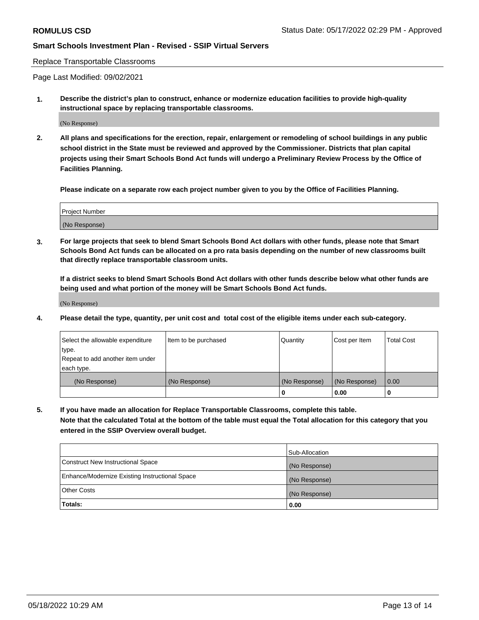### Replace Transportable Classrooms

Page Last Modified: 09/02/2021

**1. Describe the district's plan to construct, enhance or modernize education facilities to provide high-quality instructional space by replacing transportable classrooms.**

(No Response)

**2. All plans and specifications for the erection, repair, enlargement or remodeling of school buildings in any public school district in the State must be reviewed and approved by the Commissioner. Districts that plan capital projects using their Smart Schools Bond Act funds will undergo a Preliminary Review Process by the Office of Facilities Planning.**

**Please indicate on a separate row each project number given to you by the Office of Facilities Planning.**

| <b>Project Number</b> |  |
|-----------------------|--|
| (No Response)         |  |

**3. For large projects that seek to blend Smart Schools Bond Act dollars with other funds, please note that Smart Schools Bond Act funds can be allocated on a pro rata basis depending on the number of new classrooms built that directly replace transportable classroom units.**

**If a district seeks to blend Smart Schools Bond Act dollars with other funds describe below what other funds are being used and what portion of the money will be Smart Schools Bond Act funds.**

(No Response)

**4. Please detail the type, quantity, per unit cost and total cost of the eligible items under each sub-category.**

| Select the allowable expenditure | Item to be purchased | Quantity      | Cost per Item | <b>Total Cost</b> |
|----------------------------------|----------------------|---------------|---------------|-------------------|
| type.                            |                      |               |               |                   |
| Repeat to add another item under |                      |               |               |                   |
| each type.                       |                      |               |               |                   |
| (No Response)                    | (No Response)        | (No Response) | (No Response) | 0.00              |
|                                  |                      | U             | 0.00          |                   |

**5. If you have made an allocation for Replace Transportable Classrooms, complete this table.**

**Note that the calculated Total at the bottom of the table must equal the Total allocation for this category that you entered in the SSIP Overview overall budget.**

|                                                | Sub-Allocation |
|------------------------------------------------|----------------|
| Construct New Instructional Space              | (No Response)  |
| Enhance/Modernize Existing Instructional Space | (No Response)  |
| <b>Other Costs</b>                             | (No Response)  |
| Totals:                                        | 0.00           |